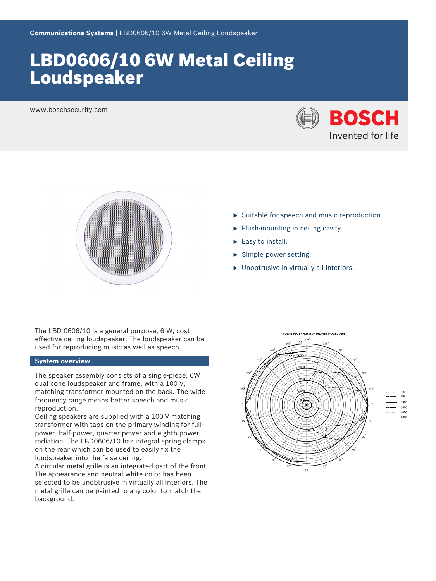# LBD0606/10 6W Metal Ceiling Loudspeaker

www.boschsecurity.com





The LBD 0606/10 is a general purpose, 6 W, cost effective ceiling loudspeaker. The loudspeaker can be used for reproducing music as well as speech.

### **System overview**

The speaker assembly consists of a single-piece, 6W dual cone loudspeaker and frame, with a 100 V, matching transformer mounted on the back. The wide frequency range means better speech and music reproduction.

Ceiling speakers are supplied with a 100 V matching transformer with taps on the primary winding for fullpower, half-power, quarter-power and eighth-power radiation. The LBD0606/10 has integral spring clamps on the rear which can be used to easily fix the loudspeaker into the false ceiling.

A circular metal grille is an integrated part of the front. The appearance and neutral white color has been selected to be unobtrusive in virtually all interiors. The metal grille can be painted to any color to match the background.

- $\triangleright$  Suitable for speech and music reproduction.
- $\blacktriangleright$  Flush-mounting in ceiling cavity.
- $\blacktriangleright$  Easy to install.
- $\blacktriangleright$  Simple power setting.
- $\blacktriangleright$  Unobtrusive in virtually all interiors.

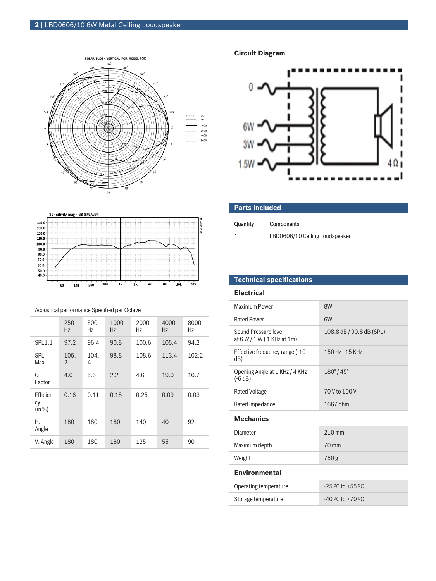



| Acoustical performance Specified per Octave |                        |           |             |            |            |            |  |
|---------------------------------------------|------------------------|-----------|-------------|------------|------------|------------|--|
|                                             | 250<br>Hz              | 500<br>Hz | 1000<br>Hz. | 2000<br>Hz | 4000<br>Hz | 8000<br>Ηz |  |
| <b>SPL1.1</b>                               | 97.2                   | 96.4      | 90.8        | 100.6      | 105.4      | 94.2       |  |
| <b>SPL</b><br>Max                           | 105.<br>$\mathfrak{D}$ | 104.<br>4 | 98.8        | 108.6      | 113.4      | 102.2      |  |
| Q<br>Factor                                 | 4.0                    | 5.6       | 2.2         | 4.6        | 19.0       | 10.7       |  |
| Efficien<br>cy<br>(in %)                    | 0.16                   | 0.11      | 0.18        | 0.25       | 0.09       | 0.03       |  |
| Н.<br>Angle                                 | 180                    | 180       | 180         | 140        | 40         | 92         |  |
| V. Angle                                    | 180                    | 180       | 180         | 125        | 55         | 90         |  |

**Circuit Diagram**



| <b>Parts included</b> |                                |  |  |  |
|-----------------------|--------------------------------|--|--|--|
| Quantity              | <b>Components</b>              |  |  |  |
|                       | LBD0606/10 Ceiling Loudspeaker |  |  |  |

# **Technical specifications**

### **Electrical**

| Maximum Power                                      | 8W                       |  |  |  |
|----------------------------------------------------|--------------------------|--|--|--|
| <b>Rated Power</b>                                 | 6W                       |  |  |  |
| Sound Pressure level<br>at 6 W / 1 W (1 KHz at 1m) | 108.8 dB / 90.8 dB (SPL) |  |  |  |
| Effective frequency range (-10<br>dB)              | 150 Hz - 15 KHz          |  |  |  |
| Opening Angle at 1 KHz / 4 KHz<br>$(-6 dB)$        | $180^{\circ}/45^{\circ}$ |  |  |  |
| <b>Rated Voltage</b>                               | 70 V to 100 V            |  |  |  |
| Rated impedance                                    | 1667 ohm                 |  |  |  |
| <b>Mechanics</b>                                   |                          |  |  |  |
| Diameter                                           | $210$ mm                 |  |  |  |
| Maximum depth                                      | $70 \,\mathrm{mm}$       |  |  |  |
| Weight                                             | 750 <sub>g</sub>         |  |  |  |
| <b>Environmental</b>                               |                          |  |  |  |
| Operating temperature                              | $-25$ °C to $+55$ °C     |  |  |  |
| Storage temperature                                | $-40$ °C to $+70$ °C     |  |  |  |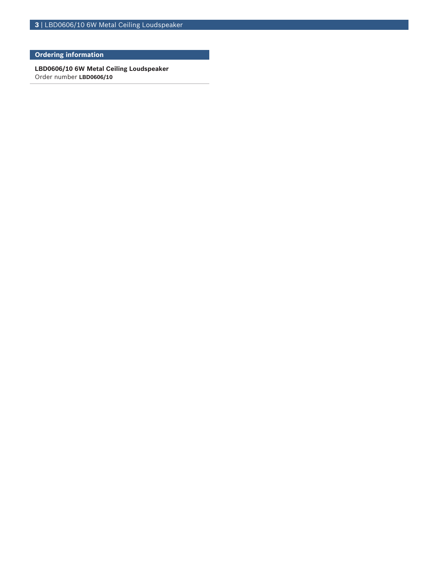**3** | LBD0606/10 6W Metal Ceiling Loudspeaker

# **Ordering information**

**LBD0606/10 6W Metal Ceiling Loudspeaker** Order number **LBD0606/10**